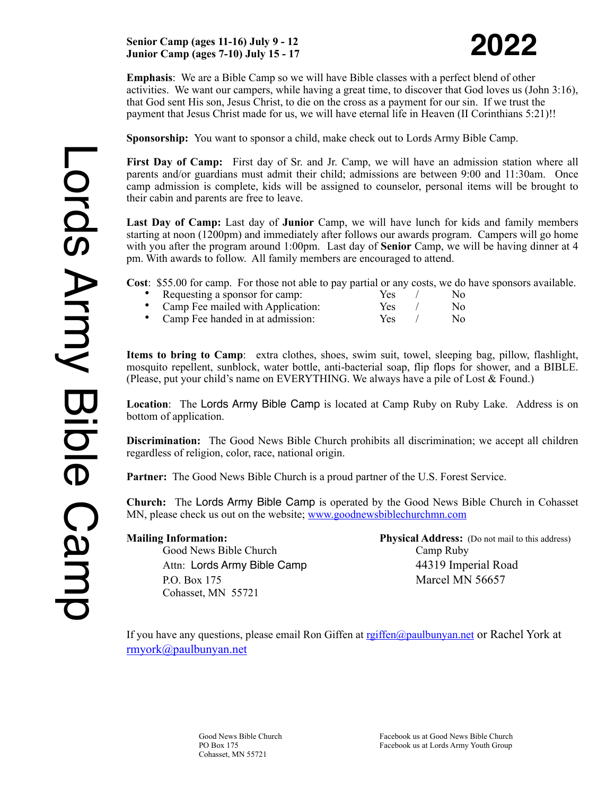## **Senior Camp (ages 11-16) July 9 - 12 Junior Camp (ages 7-10) July 15 - 17**

**Emphasis**: We are a Bible Camp so we will have Bible classes with a perfect blend of other activities. We want our campers, while having a great time, to discover that God loves us (John 3:16), that God sent His son, Jesus Christ, to die on the cross as a payment for our sin. If we trust the payment that Jesus Christ made for us, we will have eternal life in Heaven (II Corinthians 5:21)!!

**Sponsorship:** You want to sponsor a child, make check out to Lords Army Bible Camp.

**First Day of Camp:** First day of Sr. and Jr. Camp, we will have an admission station where all parents and/or guardians must admit their child; admissions are between 9:00 and 11:30am. Once camp admission is complete, kids will be assigned to counselor, personal items will be brought to their cabin and parents are free to leave.

**Last Day of Camp:** Last day of **Junior** Camp, we will have lunch for kids and family members starting at noon (1200pm) and immediately after follows our awards program. Campers will go home with you after the program around 1:00pm. Last day of **Senior** Camp, we will be having dinner at 4 pm. With awards to follow. All family members are encouraged to attend.

**Cost**: \$55.00 for camp. For those not able to pay partial or any costs, we do have sponsors available.

**Properties Allen School School School School School School School School School School School School School School School School School School School School School School School School School School School School School S** 

| Camp Fee mailed with Application: | Yes  | No |
|-----------------------------------|------|----|
| Camp Fee handed in at admission:  | Yes. | No |

**Items to bring to Camp**: extra clothes, shoes, swim suit, towel, sleeping bag, pillow, flashlight, mosquito repellent, sunblock, water bottle, anti-bacterial soap, flip flops for shower, and a BIBLE. (Please, put your child's name on EVERYTHING. We always have a pile of Lost  $&$  Found.)

**Location**: The Lords Army Bible Camp is located at Camp Ruby on Ruby Lake. Address is on bottom of application.

**Discrimination:** The Good News Bible Church prohibits all discrimination; we accept all children regardless of religion, color, race, national origin.

**Partner:** The Good News Bible Church is a proud partner of the U.S. Forest Service.

**Church:** The Lords Army Bible Camp is operated by the Good News Bible Church in Cohasset MN, please check us out on the website; [www.goodnewsbiblechurchmn.com](http://www.goodnewsbiblechurchmn.com)

Good News Bible Church Camp Ruby Attn: Lords Army Bible Camp 44319 Imperial Road P.O. Box 175 Marcel MN 56657 Cohasset, MN 55721

**Mailing Information: Physical Address:** (Do not mail to this address)

If you have any questions, please email Ron Giffen at regiffen@paulbunyan.net or Rachel York at [rmyork@paulbunyan.net](mailto:rmyork@paulbunyan.net)